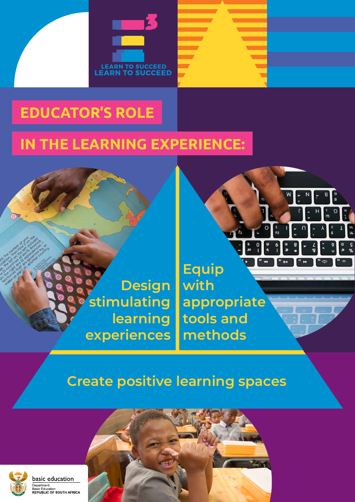

# **EDUCATOR'S ROLE**

# **IN THE LEARNING EXPERIENCE:**



rů

W

 $\circ$ 

 $\mathbf{c}$ 

b

**us** 

ru

 $\blacktriangleright$ 

 $\sim$ 

 $\overline{\bullet}$ 

114

p

 $\mathbf{R}$ 

 $\mathbf{C}$ 

**M** 

**Us** 

 $\frac{5}{8}$ 

 $\bullet$ 

 $\overline{\phantom{a}}$ 

 $52$ 

**Report** 

۶Ś

 $\mathbf{L}$ 

### **Create positive learning spaces**



#### basic education

oughercies of

rcientry

Department: Beparation...<br>Basic Education REPUBLIC OF SOUTH AFRICA



**Design stimulating learning experiences**

**Equip with appropriate tools and methods**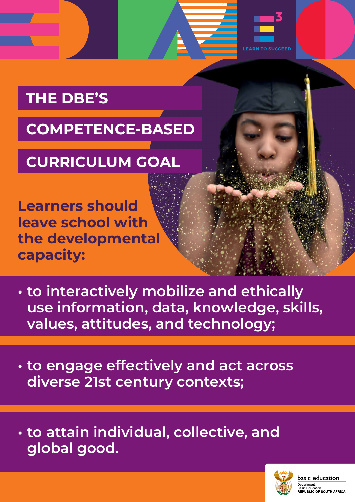## **THE DBE'S**

**LEARN TO SUCCEED** 

## **COMPETENCE-BASED**

# **CURRICULUM GOAL**

**• to interactively mobilize and ethically use information, data, knowledge, skills, values, attitudes, and technology;** 

**• to engage effectively and act across** 

### **diverse 21st century contexts;**

# **• to attain individual, collective, and global good.**

basic education

Department: **Basic Education REPUBLIC OF SOUTH AFRICA** 

**Learners should leave school with the developmental capacity:**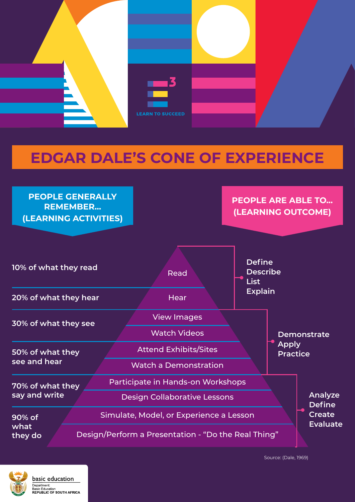

## **EDGAR DALE'S CONE OF EXPERIENCE**

Source: (Dale, 1969)



basic education

REPUBLIC OF SOUTH AFRICA

Department: **Basic Education** 



**PEOPLE ARE ABLE TO... (LEARNING OUTCOME)**



| 70% of what they          | Participate in Hands-on Workshops                   | Analyze<br><b>Define</b><br><b>Create</b><br><b>Evaluate</b> |
|---------------------------|-----------------------------------------------------|--------------------------------------------------------------|
| say and write             | Design Collaborative Lessons                        |                                                              |
| 90% of<br>what<br>they do | Simulate, Model, or Experience a Lesson             |                                                              |
|                           | Design/Perform a Presentation - "Do the Real Thing" |                                                              |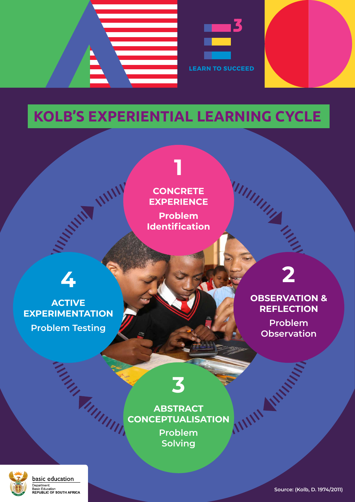## **4**

**CONTRACTOR** 

#### **ACTIVE EXPERIMENTATION Problem Testing**

UNIT

**1**

**CONCRETE EXPERIENCE**

**Problem Identification**

**3** 

#### **ABSTRACT CONCEPTUALISATION**

**Problem Solving**



basic education

Department: Basic Education **REPUBLIC OF SOUTH AFRICA**  **2**

## **OBSERVATION & REFLECTION**

**Problem Observation**

**Service Strategy** 

WW



# **KOLB'S EXPERIENTIAL LEARNING CYCLE**

**Source: (Kolb, D. 1974/2011)**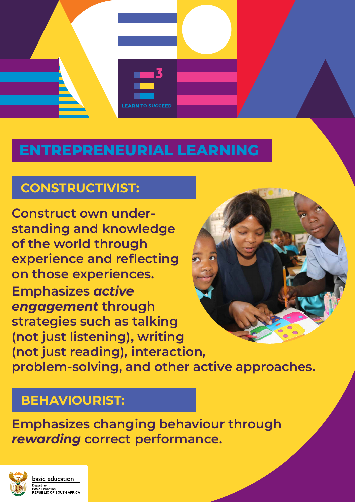

## **ENTREPRENEURIAL LEARNING**

**Construct own understanding and knowledge of the world through experience and reflecting on those experiences. Emphasizes** *active engagement* **through strategies such as talking (not just listening), writing (not just reading), interaction, problem-solving, and other active approaches.**



### **Emphasizes changing behaviour through**  *rewarding* **correct performance.**



basic education

Department: **Basic Education REPUBLIC OF SOUTH AFRICA** 

#### **CONSTRUCTIVIST:**

#### **BEHAVIOURIST:**